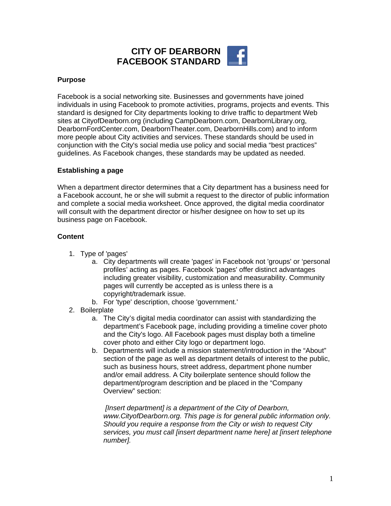

## **Purpose**

Facebook is a social networking site. Businesses and governments have joined individuals in using Facebook to promote activities, programs, projects and events. This standard is designed for City departments looking to drive traffic to department Web sites at CityofDearborn.org (including CampDearborn.com, DearbornLibrary.org, DearbornFordCenter.com, DearbornTheater.com, DearbornHills.com) and to inform more people about City activities and services. These standards should be used in conjunction with the City's social media use policy and social media "best practices" guidelines. As Facebook changes, these standards may be updated as needed.

## **Establishing a page**

When a department director determines that a City department has a business need for a Facebook account, he or she will submit a request to the director of public information and complete a social media worksheet. Once approved, the digital media coordinator will consult with the department director or his/her designee on how to set up its business page on Facebook.

## **Content**

- 1. Type of 'pages'
	- a. City departments will create 'pages' in Facebook not 'groups' or 'personal profiles' acting as pages. Facebook 'pages' offer distinct advantages including greater visibility, customization and measurability. Community pages will currently be accepted as is unless there is a copyright/trademark issue.
	- b. For 'type' description, choose 'government.'
- 2. Boilerplate
	- a. The City's digital media coordinator can assist with standardizing the department's Facebook page, including providing a timeline cover photo and the City's logo. All Facebook pages must display both a timeline cover photo and either City logo or department logo.
	- b. Departments will include a mission statement/introduction in the "About" section of the page as well as department details of interest to the public, such as business hours, street address, department phone number and/or email address. A City boilerplate sentence should follow the department/program description and be placed in the "Company Overview" section:

 *[Insert department] is a department of the City of Dearborn, www.CityofDearborn.org. This page is for general public information only. Should you require a response from the City or wish to request City services, you must call [insert department name here] at [insert telephone number].*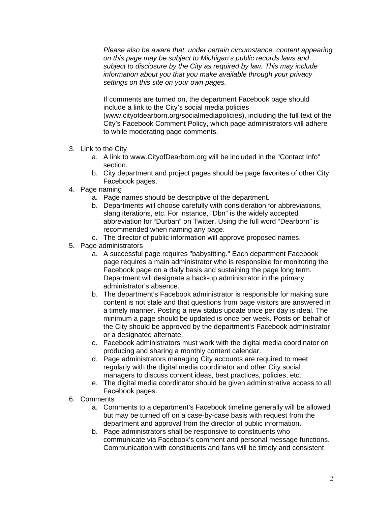*Please also be aware that, under certain circumstance, content appearing on this page may be subject to Michigan's public records laws and subject to disclosure by the City as required by law. This may include information about you that you make available through your privacy settings on this site on your own pages.*

If comments are turned on, the department Facebook page should include a link to the City's social media policies (www.cityofdearborn.org/socialmediapolicies), including the full text of the City's Facebook Comment Policy, which page administrators will adhere to while moderating page comments.

- 3. Link to the City
	- a. A link to www.CityofDearborn.org will be included in the "Contact Info" section.
	- b. City department and project pages should be page favorites of other City Facebook pages.
- 4. Page naming
	- a. Page names should be descriptive of the department.
	- b. Departments will choose carefully with consideration for abbreviations, slang iterations, etc. For instance, "Dbn" is the widely accepted abbreviation for "Durban" on Twitter. Using the full word "Dearborn" is recommended when naming any page.
	- c. The director of public information will approve proposed names.
- 5. Page administrators
	- a. A successful page requires "babysitting." Each department Facebook page requires a main administrator who is responsible for monitoring the Facebook page on a daily basis and sustaining the page long term. Department will designate a back-up administrator in the primary administrator's absence.
	- b. The department's Facebook administrator is responsible for making sure content is not stale and that questions from page visitors are answered in a timely manner. Posting a new status update once per day is ideal. The minimum a page should be updated is once per week. Posts on behalf of the City should be approved by the department's Facebook administrator or a designated alternate.
	- c. Facebook administrators must work with the digital media coordinator on producing and sharing a monthly content calendar.
	- d. Page administrators managing City accounts are required to meet regularly with the digital media coordinator and other City social managers to discuss content ideas, best practices, policies, etc.
	- e. The digital media coordinator should be given administrative access to all Facebook pages.
- 6. Comments
	- a. Comments to a department's Facebook timeline generally will be allowed but may be turned off on a case-by-case basis with request from the department and approval from the director of public information.
	- b. Page administrators shall be responsive to constituents who communicate via Facebook's comment and personal message functions. Communication with constituents and fans will be timely and consistent